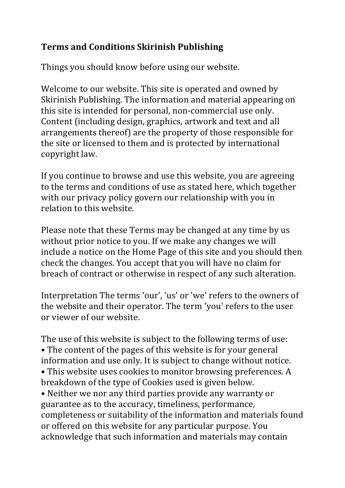## **Terms and Conditions Skirinish Publishing**

Things you should know before using our website.

Welcome to our website. This site is operated and owned by Skirinish Publishing. The information and material appearing on this site is intended for personal, non-commercial use only. Content (including design, graphics, artwork and text and all arrangements thereof) are the property of those responsible for the site or licensed to them and is protected by international copyright law.

If you continue to browse and use this website, you are agreeing to the terms and conditions of use as stated here, which together with our privacy policy govern our relationship with you in relation to this website.

Please note that these Terms may be changed at any time by us without prior notice to you. If we make any changes we will include a notice on the Home Page of this site and you should then check the changes. You accept that you will have no claim for breach of contract or otherwise in respect of any such alteration.

Interpretation The terms 'our', 'us' or 'we' refers to the owners of the website and their operator. The term 'you' refers to the user or viewer of our website.

The use of this website is subject to the following terms of use: • The content of the pages of this website is for your general information and use only. It is subject to change without notice. • This website uses cookies to monitor browsing preferences. A breakdown of the type of Cookies used is given below. • Neither we nor any third parties provide any warranty or guarantee as to the accuracy, timeliness, performance, completeness or suitability of the information and materials found or offered on this website for any particular purpose. You acknowledge that such information and materials may contain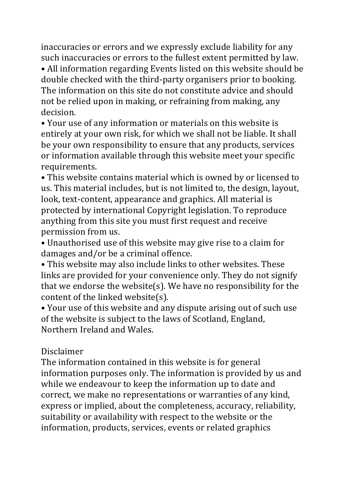inaccuracies or errors and we expressly exclude liability for any such inaccuracies or errors to the fullest extent permitted by law.

• All information regarding Events listed on this website should be double checked with the third-party organisers prior to booking. The information on this site do not constitute advice and should not be relied upon in making, or refraining from making, any decision. 

• Your use of any information or materials on this website is entirely at your own risk, for which we shall not be liable. It shall be your own responsibility to ensure that any products, services or information available through this website meet your specific requirements. 

• This website contains material which is owned by or licensed to us. This material includes, but is not limited to, the design, layout, look, text-content, appearance and graphics. All material is protected by international Copyright legislation. To reproduce anything from this site you must first request and receive permission from us.

• Unauthorised use of this website may give rise to a claim for damages and/or be a criminal offence.

• This website may also include links to other websites. These links are provided for your convenience only. They do not signify that we endorse the website(s). We have no responsibility for the content of the linked website(s).

• Your use of this website and any dispute arising out of such use of the website is subject to the laws of Scotland, England, Northern Ireland and Wales.

## Disclaimer

The information contained in this website is for general information purposes only. The information is provided by us and while we endeavour to keep the information up to date and correct, we make no representations or warranties of any kind, express or implied, about the completeness, accuracy, reliability, suitability or availability with respect to the website or the information, products, services, events or related graphics